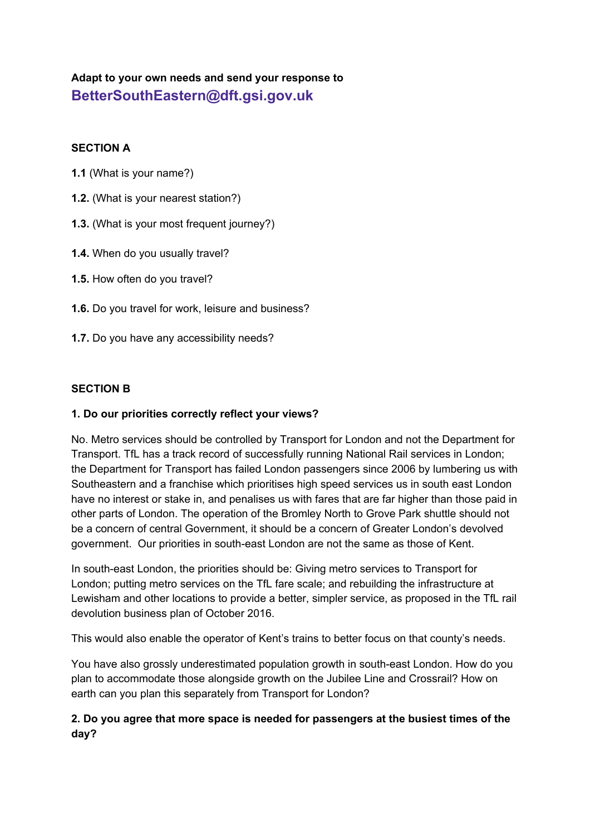# **Adapt to your own needs and send your response to BetterSouthEastern@dft.gsi.gov.uk**

#### **SECTION A**

- **1.1** (What is your name?)
- **1.2.** (What is your nearest station?)
- **1.3.** (What is your most frequent journey?)
- **1.4.** When do you usually travel?
- **1.5.** How often do you travel?
- **1.6.** Do you travel for work, leisure and business?
- **1.7.** Do you have any accessibility needs?

#### **SECTION B**

#### **1. Do our priorities correctly reflect your views?**

No. Metro services should be controlled by Transport for London and not the Department for Transport. TfL has a track record of successfully running National Rail services in London; the Department for Transport has failed London passengers since 2006 by lumbering us with Southeastern and a franchise which prioritises high speed services us in south east London have no interest or stake in, and penalises us with fares that are far higher than those paid in other parts of London. The operation of the Bromley North to Grove Park shuttle should not be a concern of central Government, it should be a concern of Greater London's devolved government. Our priorities in south-east London are not the same as those of Kent.

In south-east London, the priorities should be: Giving metro services to Transport for London; putting metro services on the TfL fare scale; and rebuilding the infrastructure at Lewisham and other locations to provide a better, simpler service, as proposed in the TfL rail devolution business plan of October 2016.

This would also enable the operator of Kent's trains to better focus on that county's needs.

You have also grossly underestimated population growth in south-east London. How do you plan to accommodate those alongside growth on the Jubilee Line and Crossrail? How on earth can you plan this separately from Transport for London?

## **2. Do you agree that more space is needed for passengers at the busiest times of the day?**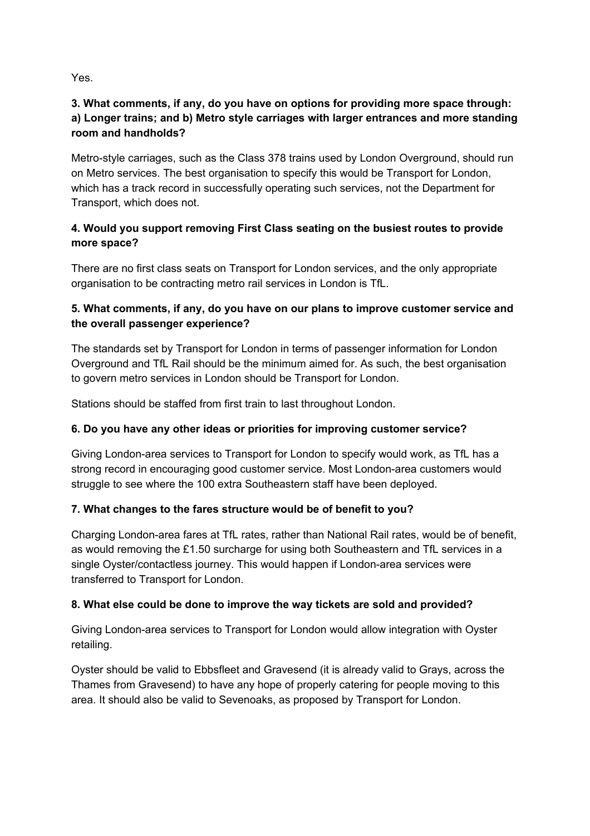Yes.

# **3. What comments, if any, do you have on options for providing more space through: a) Longer trains; and b) Metro style carriages with larger entrances and more standing room and handholds?**

Metro-style carriages, such as the Class 378 trains used by London Overground, should run on Metro services. The best organisation to specify this would be Transport for London, which has a track record in successfully operating such services, not the Department for Transport, which does not.

# **4. Would you support removing First Class seating on the busiest routes to provide more space?**

There are no first class seats on Transport for London services, and the only appropriate organisation to be contracting metro rail services in London is TfL.

# **5. What comments, if any, do you have on our plans to improve customer service and the overall passenger experience?**

The standards set by Transport for London in terms of passenger information for London Overground and TfL Rail should be the minimum aimed for. As such, the best organisation to govern metro services in London should be Transport for London.

Stations should be staffed from first train to last throughout London.

# **6. Do you have any other ideas or priorities for improving customer service?**

Giving London-area services to Transport for London to specify would work, as TfL has a strong record in encouraging good customer service. Most London-area customers would struggle to see where the 100 extra Southeastern staff have been deployed.

# **7. What changes to the fares structure would be of benefit to you?**

Charging London-area fares at TfL rates, rather than National Rail rates, would be of benefit, as would removing the £1.50 surcharge for using both Southeastern and TfL services in a single Oyster/contactless journey. This would happen if London-area services were transferred to Transport for London.

# **8. What else could be done to improve the way tickets are sold and provided?**

Giving London-area services to Transport for London would allow integration with Oyster retailing.

Oyster should be valid to Ebbsfleet and Gravesend (it is already valid to Grays, across the Thames from Gravesend) to have any hope of properly catering for people moving to this area. It should also be valid to Sevenoaks, as proposed by Transport for London.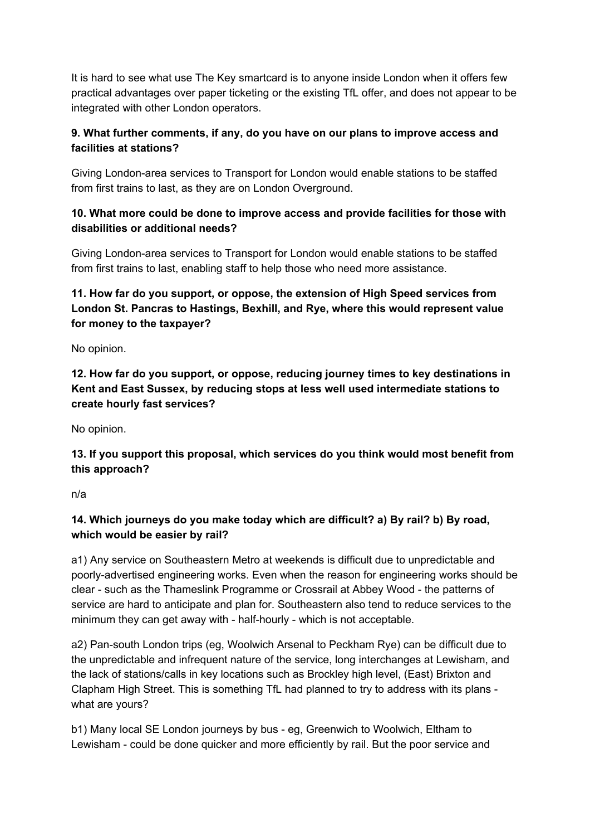It is hard to see what use The Key smartcard is to anyone inside London when it offers few practical advantages over paper ticketing or the existing TfL offer, and does not appear to be integrated with other London operators.

# **9. What further comments, if any, do you have on our plans to improve access and facilities at stations?**

Giving London-area services to Transport for London would enable stations to be staffed from first trains to last, as they are on London Overground.

# **10. What more could be done to improve access and provide facilities for those with disabilities or additional needs?**

Giving London-area services to Transport for London would enable stations to be staffed from first trains to last, enabling staff to help those who need more assistance.

# **11. How far do you support, or oppose, the extension of High Speed services from London St. Pancras to Hastings, Bexhill, and Rye, where this would represent value for money to the taxpayer?**

No opinion.

**12. How far do you support, or oppose, reducing journey times to key destinations in Kent and East Sussex, by reducing stops at less well used intermediate stations to create hourly fast services?**

No opinion.

**13. If you support this proposal, which services do you think would most benefit from this approach?**

n/a

# **14. Which journeys do you make today which are difficult? a) By rail? b) By road, which would be easier by rail?**

a1) Any service on Southeastern Metro at weekends is difficult due to unpredictable and poorly-advertised engineering works. Even when the reason for engineering works should be clear - such as the Thameslink Programme or Crossrail at Abbey Wood - the patterns of service are hard to anticipate and plan for. Southeastern also tend to reduce services to the minimum they can get away with - half-hourly - which is not acceptable.

a2) Pan-south London trips (eg, Woolwich Arsenal to Peckham Rye) can be difficult due to the unpredictable and infrequent nature of the service, long interchanges at Lewisham, and the lack of stations/calls in key locations such as Brockley high level, (East) Brixton and Clapham High Street. This is something TfL had planned to try to address with its plans what are yours?

b1) Many local SE London journeys by bus - eg, Greenwich to Woolwich, Eltham to Lewisham - could be done quicker and more efficiently by rail. But the poor service and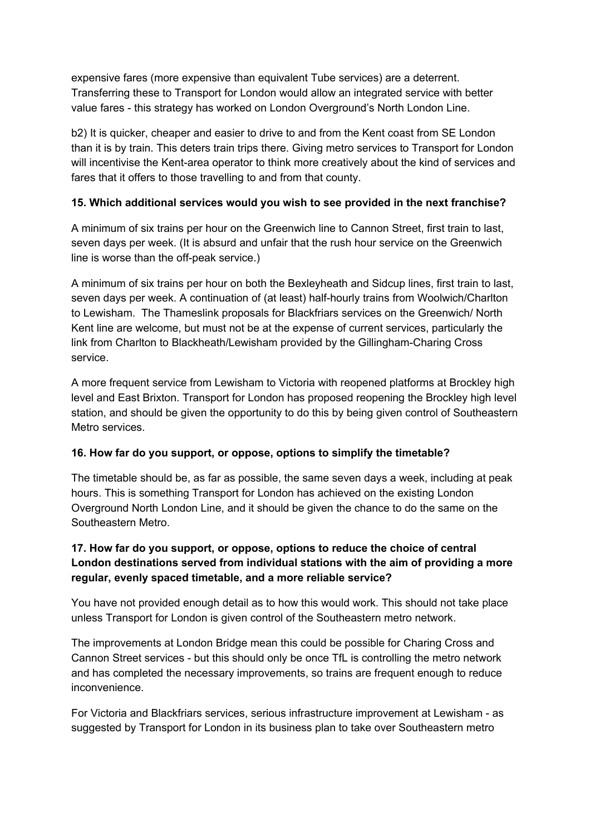expensive fares (more expensive than equivalent Tube services) are a deterrent. Transferring these to Transport for London would allow an integrated service with better value fares - this strategy has worked on London Overground's North London Line.

b2) It is quicker, cheaper and easier to drive to and from the Kent coast from SE London than it is by train. This deters train trips there. Giving metro services to Transport for London will incentivise the Kent-area operator to think more creatively about the kind of services and fares that it offers to those travelling to and from that county.

#### **15. Which additional services would you wish to see provided in the next franchise?**

A minimum of six trains per hour on the Greenwich line to Cannon Street, first train to last, seven days per week. (It is absurd and unfair that the rush hour service on the Greenwich line is worse than the off-peak service.)

A minimum of six trains per hour on both the Bexleyheath and Sidcup lines, first train to last, seven days per week. A continuation of (at least) half-hourly trains from Woolwich/Charlton to Lewisham. The Thameslink proposals for Blackfriars services on the Greenwich/ North Kent line are welcome, but must not be at the expense of current services, particularly the link from Charlton to Blackheath/Lewisham provided by the Gillingham-Charing Cross service.

A more frequent service from Lewisham to Victoria with reopened platforms at Brockley high level and East Brixton. Transport for London has proposed reopening the Brockley high level station, and should be given the opportunity to do this by being given control of Southeastern Metro services.

# **16. How far do you support, or oppose, options to simplify the timetable?**

The timetable should be, as far as possible, the same seven days a week, including at peak hours. This is something Transport for London has achieved on the existing London Overground North London Line, and it should be given the chance to do the same on the Southeastern Metro.

# **17. How far do you support, or oppose, options to reduce the choice of central London destinations served from individual stations with the aim of providing a more regular, evenly spaced timetable, and a more reliable service?**

You have not provided enough detail as to how this would work. This should not take place unless Transport for London is given control of the Southeastern metro network.

The improvements at London Bridge mean this could be possible for Charing Cross and Cannon Street services - but this should only be once TfL is controlling the metro network and has completed the necessary improvements, so trains are frequent enough to reduce inconvenience.

For Victoria and Blackfriars services, serious infrastructure improvement at Lewisham - as suggested by Transport for London in its business plan to take over Southeastern metro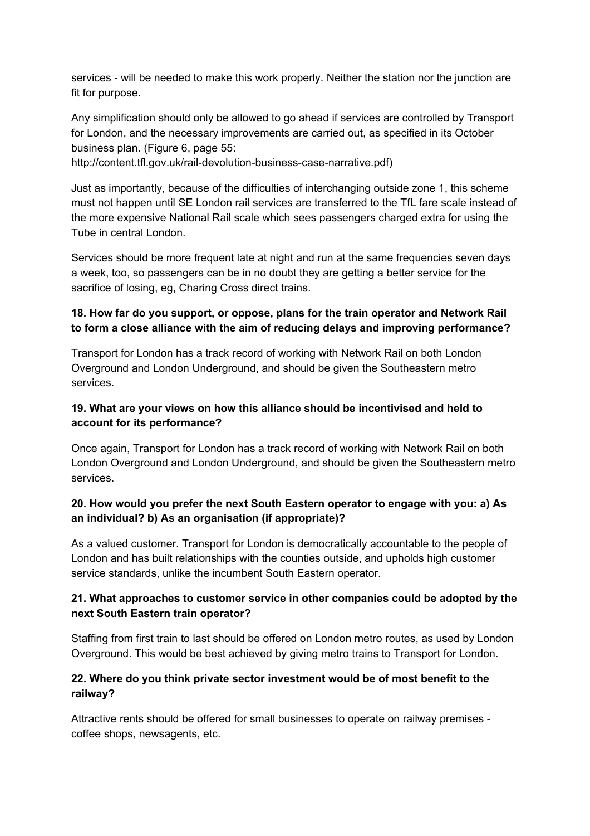services - will be needed to make this work properly. Neither the station nor the junction are fit for purpose.

Any simplification should only be allowed to go ahead if services are controlled by Transport for London, and the necessary improvements are carried out, as specified in its October business plan. (Figure 6, page 55:

http://content.tfl.gov.uk/rail-devolution-business-case-narrative.pdf)

Just as importantly, because of the difficulties of interchanging outside zone 1, this scheme must not happen until SE London rail services are transferred to the TfL fare scale instead of the more expensive National Rail scale which sees passengers charged extra for using the Tube in central London.

Services should be more frequent late at night and run at the same frequencies seven days a week, too, so passengers can be in no doubt they are getting a better service for the sacrifice of losing, eg, Charing Cross direct trains.

# **18. How far do you support, or oppose, plans for the train operator and Network Rail to form a close alliance with the aim of reducing delays and improving performance?**

Transport for London has a track record of working with Network Rail on both London Overground and London Underground, and should be given the Southeastern metro services.

# **19. What are your views on how this alliance should be incentivised and held to account for its performance?**

Once again, Transport for London has a track record of working with Network Rail on both London Overground and London Underground, and should be given the Southeastern metro services.

## **20. How would you prefer the next South Eastern operator to engage with you: a) As an individual? b) As an organisation (if appropriate)?**

As a valued customer. Transport for London is democratically accountable to the people of London and has built relationships with the counties outside, and upholds high customer service standards, unlike the incumbent South Eastern operator.

## **21. What approaches to customer service in other companies could be adopted by the next South Eastern train operator?**

Staffing from first train to last should be offered on London metro routes, as used by London Overground. This would be best achieved by giving metro trains to Transport for London.

## **22. Where do you think private sector investment would be of most benefit to the railway?**

Attractive rents should be offered for small businesses to operate on railway premises coffee shops, newsagents, etc.